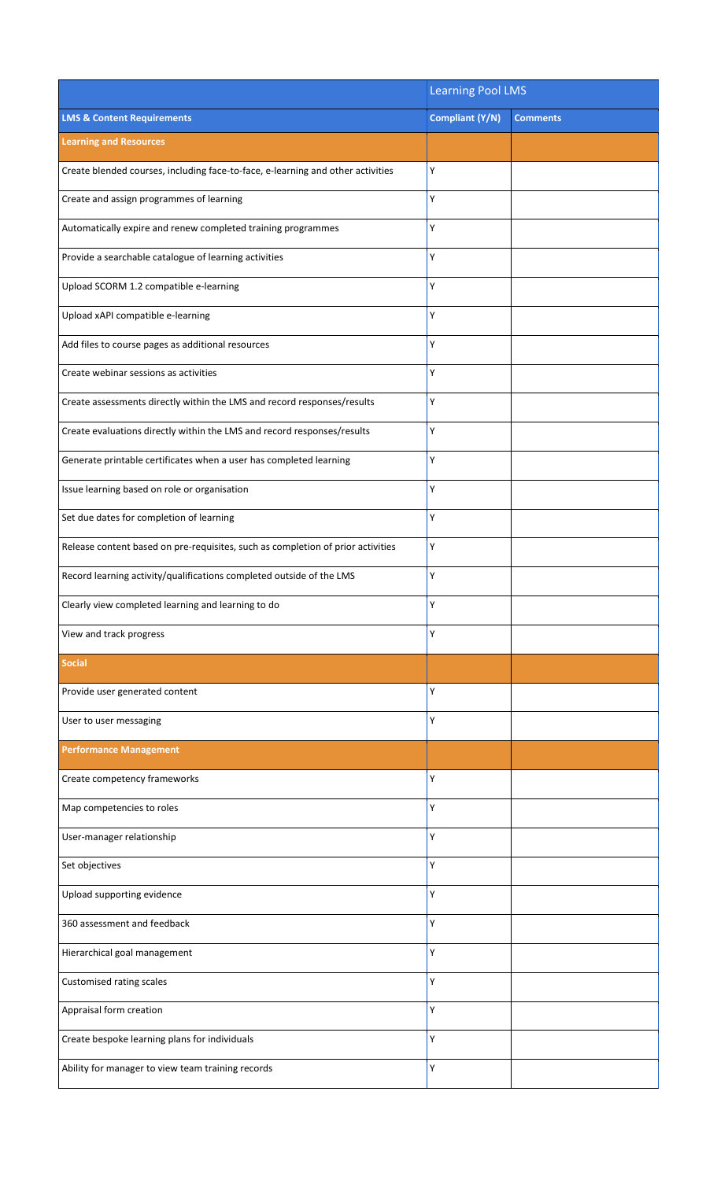|                                                                                 | <b>Learning Pool LMS</b> |                 |
|---------------------------------------------------------------------------------|--------------------------|-----------------|
| <b>LMS &amp; Content Requirements</b>                                           | Compliant (Y/N)          | <b>Comments</b> |
| <b>Learning and Resources</b>                                                   |                          |                 |
| Create blended courses, including face-to-face, e-learning and other activities | Υ                        |                 |
| Create and assign programmes of learning                                        | Υ                        |                 |
| Automatically expire and renew completed training programmes                    | Y                        |                 |
| Provide a searchable catalogue of learning activities                           | Υ                        |                 |
| Upload SCORM 1.2 compatible e-learning                                          | Υ                        |                 |
| Upload xAPI compatible e-learning                                               | Υ                        |                 |
| Add files to course pages as additional resources                               | Υ                        |                 |
| Create webinar sessions as activities                                           | Υ                        |                 |
| Create assessments directly within the LMS and record responses/results         | Υ                        |                 |
| Create evaluations directly within the LMS and record responses/results         | Υ                        |                 |
| Generate printable certificates when a user has completed learning              | Υ                        |                 |
| Issue learning based on role or organisation                                    | Υ                        |                 |
| Set due dates for completion of learning                                        | Υ                        |                 |
| Release content based on pre-requisites, such as completion of prior activities | Υ                        |                 |
| Record learning activity/qualifications completed outside of the LMS            | Υ                        |                 |
| Clearly view completed learning and learning to do                              | Y                        |                 |
| View and track progress                                                         | Υ                        |                 |
| <b>Social</b>                                                                   |                          |                 |
| Provide user generated content                                                  | Υ                        |                 |
| User to user messaging                                                          | Υ                        |                 |
| <b>Performance Management</b>                                                   |                          |                 |
| Create competency frameworks                                                    | Υ                        |                 |
| Map competencies to roles                                                       | Υ                        |                 |
| User-manager relationship                                                       | Υ                        |                 |
| Set objectives                                                                  | Υ                        |                 |
| Upload supporting evidence                                                      | Υ                        |                 |
| 360 assessment and feedback                                                     | Υ                        |                 |
| Hierarchical goal management                                                    | Υ                        |                 |
| Customised rating scales                                                        | Υ                        |                 |
| Appraisal form creation                                                         | Υ                        |                 |
| Create bespoke learning plans for individuals                                   | Υ                        |                 |
| Ability for manager to view team training records                               | Υ                        |                 |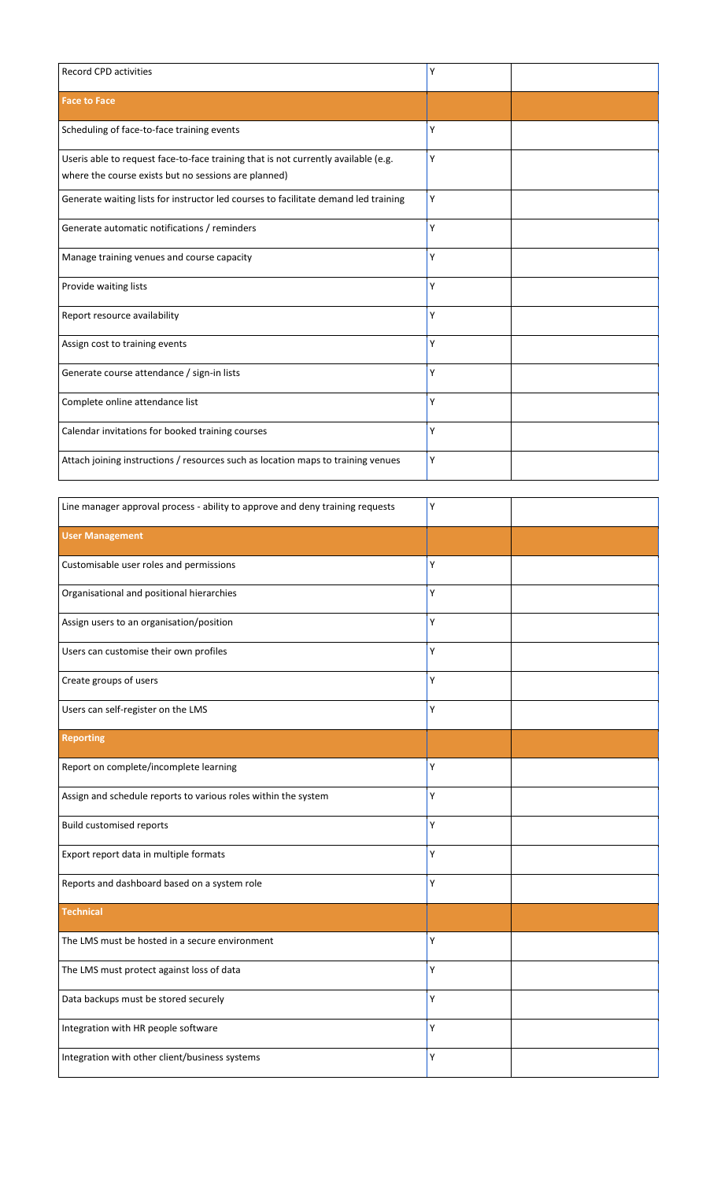| <b>Record CPD activities</b>                                                                                                               | Υ |  |
|--------------------------------------------------------------------------------------------------------------------------------------------|---|--|
| <b>Face to Face</b>                                                                                                                        |   |  |
| Scheduling of face-to-face training events                                                                                                 | Y |  |
| Useris able to request face-to-face training that is not currently available (e.g.<br>where the course exists but no sessions are planned) | Υ |  |
| Generate waiting lists for instructor led courses to facilitate demand led training                                                        | Υ |  |
| Generate automatic notifications / reminders                                                                                               | Υ |  |
| Manage training venues and course capacity                                                                                                 | Υ |  |
| Provide waiting lists                                                                                                                      | Υ |  |
| Report resource availability                                                                                                               | Υ |  |
| Assign cost to training events                                                                                                             | Υ |  |
| Generate course attendance / sign-in lists                                                                                                 | Υ |  |
| Complete online attendance list                                                                                                            | Υ |  |
| Calendar invitations for booked training courses                                                                                           | Υ |  |
| Attach joining instructions / resources such as location maps to training venues                                                           | Υ |  |

| Line manager approval process - ability to approve and deny training requests | Υ |  |
|-------------------------------------------------------------------------------|---|--|
| <b>User Management</b>                                                        |   |  |
| Customisable user roles and permissions                                       | Υ |  |
| Organisational and positional hierarchies                                     | Υ |  |
| Assign users to an organisation/position                                      | Υ |  |
| Users can customise their own profiles                                        | Υ |  |
| Create groups of users                                                        | Υ |  |
| Users can self-register on the LMS                                            | Υ |  |
| <b>Reporting</b>                                                              |   |  |
| Report on complete/incomplete learning                                        | Υ |  |
| Assign and schedule reports to various roles within the system                | Υ |  |
| <b>Build customised reports</b>                                               | Υ |  |
| Export report data in multiple formats                                        | Υ |  |
| Reports and dashboard based on a system role                                  | Υ |  |
| <b>Technical</b>                                                              |   |  |
| The LMS must be hosted in a secure environment                                | Υ |  |
| The LMS must protect against loss of data                                     | Υ |  |
| Data backups must be stored securely                                          | Υ |  |
| Integration with HR people software                                           | Υ |  |
| Integration with other client/business systems                                | Υ |  |